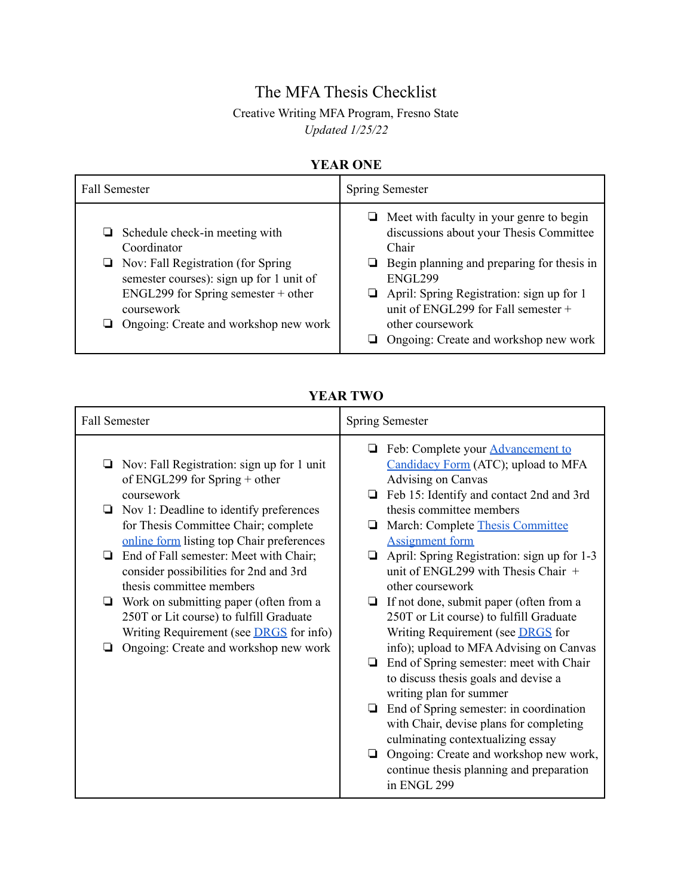# The MFA Thesis Checklist

## Creative Writing MFA Program, Fresno State *Updated 1/25/22*

### **YEAR ONE**

| <b>Fall Semester</b>                                                                                                                                                                                                                          | <b>Spring Semester</b>                                                                                                                                                                                                                                                                                              |
|-----------------------------------------------------------------------------------------------------------------------------------------------------------------------------------------------------------------------------------------------|---------------------------------------------------------------------------------------------------------------------------------------------------------------------------------------------------------------------------------------------------------------------------------------------------------------------|
| $\Box$ Schedule check-in meeting with<br>Coordinator<br>$\Box$ Nov: Fall Registration (for Spring<br>semester courses): sign up for 1 unit of<br>$ENGL299$ for Spring semester + other<br>coursework<br>Ongoing: Create and workshop new work | $\Box$ Meet with faculty in your genre to begin<br>discussions about your Thesis Committee<br>Chair<br>Begin planning and preparing for thesis in<br>u.<br>ENGL299<br>April: Spring Registration: sign up for 1<br>unit of ENGL299 for Fall semester +<br>other coursework<br>Ongoing: Create and workshop new work |

#### **YEAR TWO**

| <b>Fall Semester</b>                                                                                                                     | <b>Spring Semester</b>                                                                                                                      |
|------------------------------------------------------------------------------------------------------------------------------------------|---------------------------------------------------------------------------------------------------------------------------------------------|
| Nov: Fall Registration: sign up for 1 unit<br>❏<br>of ENGL299 for Spring $+$ other                                                       | Feb: Complete your <b>Advancement</b> to<br>⊔<br>Candidacy Form (ATC); upload to MFA<br>Advising on Canvas                                  |
| coursework<br>Nov 1: Deadline to identify preferences<br>⊔<br>for Thesis Committee Chair; complete                                       | Feb 15: Identify and contact 2nd and 3rd<br>❏<br>thesis committee members<br>March: Complete Thesis Committee<br>⊔                          |
| online form listing top Chair preferences<br>End of Fall semester: Meet with Chair;<br>❏                                                 | <b>Assignment form</b><br>April: Spring Registration: sign up for 1-3<br>❏                                                                  |
| consider possibilities for 2nd and 3rd<br>thesis committee members                                                                       | unit of ENGL299 with Thesis Chair $+$<br>other coursework                                                                                   |
| Work on submitting paper (often from a<br>❏<br>250T or Lit course) to fulfill Graduate<br>Writing Requirement (see <b>DRGS</b> for info) | If not done, submit paper (often from a<br>❏<br>250T or Lit course) to fulfill Graduate<br>Writing Requirement (see <b>DRGS</b> for         |
| Ongoing: Create and workshop new work                                                                                                    | info); upload to MFA Advising on Canvas<br>End of Spring semester: meet with Chair<br>❏<br>to discuss thesis goals and devise a             |
|                                                                                                                                          | writing plan for summer<br>End of Spring semester: in coordination<br>with Chair, devise plans for completing                               |
|                                                                                                                                          | culminating contextualizing essay<br>Ongoing: Create and workshop new work,<br>❏<br>continue thesis planning and preparation<br>in ENGL 299 |